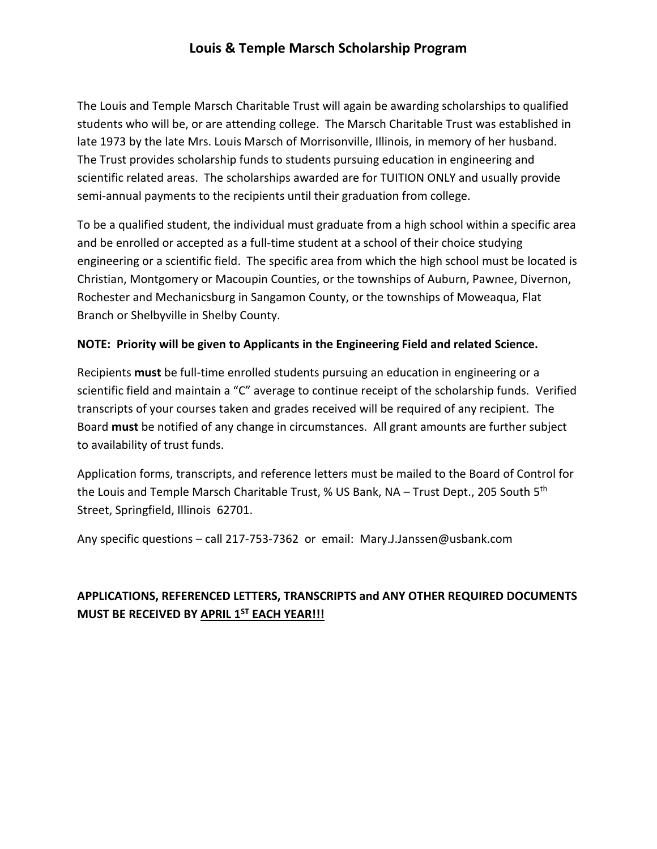## **Louis & Temple Marsch Scholarship Program**

The Louis and Temple Marsch Charitable Trust will again be awarding scholarships to qualified students who will be, or are attending college. The Marsch Charitable Trust was established in late 1973 by the late Mrs. Louis Marsch of Morrisonville, Illinois, in memory of her husband. The Trust provides scholarship funds to students pursuing education in engineering and scientific related areas. The scholarships awarded are for TUITION ONLY and usually provide semi-annual payments to the recipients until their graduation from college.

To be a qualified student, the individual must graduate from a high school within a specific area and be enrolled or accepted as a full-time student at a school of their choice studying engineering or a scientific field. The specific area from which the high school must be located is Christian, Montgomery or Macoupin Counties, or the townships of Auburn, Pawnee, Divernon, Rochester and Mechanicsburg in Sangamon County, or the townships of Moweaqua, Flat Branch or Shelbyville in Shelby County.

## **NOTE: Priority will be given to Applicants in the Engineering Field and related Science.**

Recipients **must** be full-time enrolled students pursuing an education in engineering or a scientific field and maintain a "C" average to continue receipt of the scholarship funds. Verified transcripts of your courses taken and grades received will be required of any recipient. The Board **must** be notified of any change in circumstances. All grant amounts are further subject to availability of trust funds.

Application forms, transcripts, and reference letters must be mailed to the Board of Control for the Louis and Temple Marsch Charitable Trust, % US Bank, NA – Trust Dept., 205 South 5<sup>th</sup> Street, Springfield, Illinois 62701.

Any specific questions – call 217-753-7362 or email: Mary.J.Janssen@usbank.com

## **APPLICATIONS, REFERENCED LETTERS, TRANSCRIPTS and ANY OTHER REQUIRED DOCUMENTS MUST BE RECEIVED BY APRIL 1ST EACH YEAR!!!**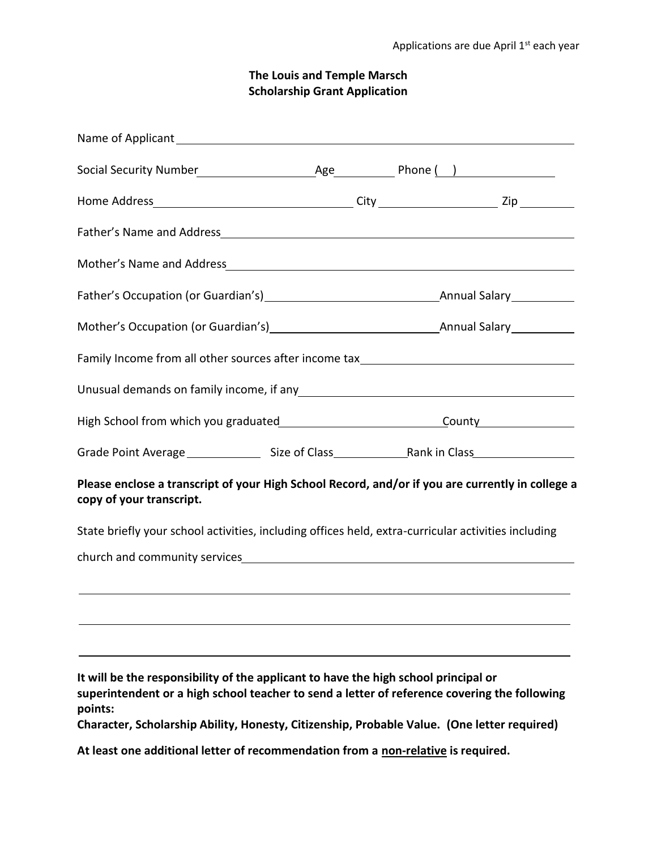## **The Louis and Temple Marsch Scholarship Grant Application**

| Family Income from all other sources after income tax___________________________                                                                                                                                                                                                              |  |  |
|-----------------------------------------------------------------------------------------------------------------------------------------------------------------------------------------------------------------------------------------------------------------------------------------------|--|--|
| Unusual demands on family income, if any subsequently and the manuscript of the United States and Dividende Co                                                                                                                                                                                |  |  |
|                                                                                                                                                                                                                                                                                               |  |  |
|                                                                                                                                                                                                                                                                                               |  |  |
| Please enclose a transcript of your High School Record, and/or if you are currently in college a<br>copy of your transcript.                                                                                                                                                                  |  |  |
| State briefly your school activities, including offices held, extra-curricular activities including                                                                                                                                                                                           |  |  |
|                                                                                                                                                                                                                                                                                               |  |  |
|                                                                                                                                                                                                                                                                                               |  |  |
|                                                                                                                                                                                                                                                                                               |  |  |
|                                                                                                                                                                                                                                                                                               |  |  |
| It will be the responsibility of the applicant to have the high school principal or<br>superintendent or a high school teacher to send a letter of reference covering the following<br>points:<br>Character, Scholarship Ability, Honesty, Citizenship, Probable Value. (One letter required) |  |  |

**At least one additional letter of recommendation from a non-relative is required.**